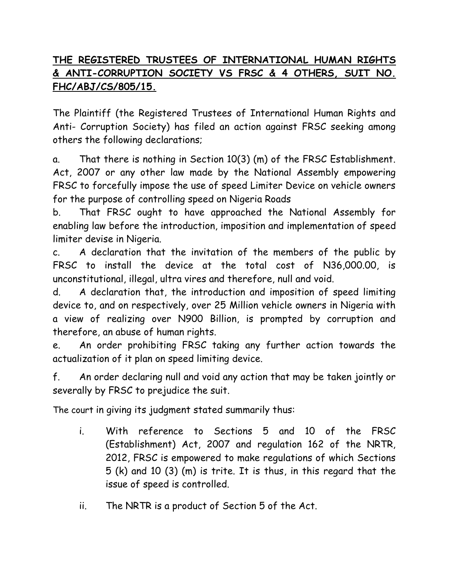## **THE REGISTERED TRUSTEES OF INTERNATIONAL HUMAN RIGHTS & ANTI-CORRUPTION SOCIETY VS FRSC & 4 OTHERS, SUIT NO. FHC/ABJ/CS/805/15.**

The Plaintiff (the Registered Trustees of International Human Rights and Anti- Corruption Society) has filed an action against FRSC seeking among others the following declarations;

a. That there is nothing in Section 10(3) (m) of the FRSC Establishment. Act, 2007 or any other law made by the National Assembly empowering FRSC to forcefully impose the use of speed Limiter Device on vehicle owners for the purpose of controlling speed on Nigeria Roads

b. That FRSC ought to have approached the National Assembly for enabling law before the introduction, imposition and implementation of speed limiter devise in Nigeria.

c. A declaration that the invitation of the members of the public by FRSC to install the device at the total cost of N36,000.00, is unconstitutional, illegal, ultra vires and therefore, null and void.

d. A declaration that, the introduction and imposition of speed limiting device to, and on respectively, over 25 Million vehicle owners in Nigeria with a view of realizing over N900 Billion, is prompted by corruption and therefore, an abuse of human rights.

e. An order prohibiting FRSC taking any further action towards the actualization of it plan on speed limiting device.

f. An order declaring null and void any action that may be taken jointly or severally by FRSC to prejudice the suit.

The court in giving its judgment stated summarily thus:

- i. With reference to Sections 5 and 10 of the FRSC (Establishment) Act, 2007 and regulation 162 of the NRTR, 2012, FRSC is empowered to make regulations of which Sections 5 (k) and 10 (3) (m) is trite. It is thus, in this regard that the issue of speed is controlled.
- ii. The NRTR is a product of Section 5 of the Act.